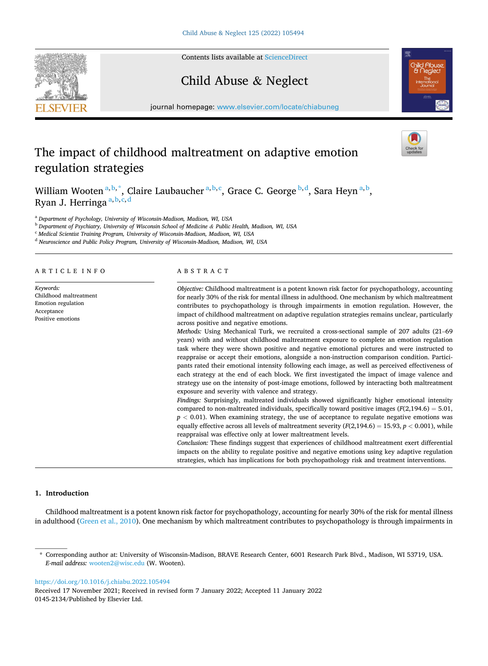Contents lists available at [ScienceDirect](www.sciencedirect.com/science/journal/01452134)

# Child Abuse & Neglect

journal homepage: [www.elsevier.com/locate/chiabuneg](https://www.elsevier.com/locate/chiabuneg)

## The impact of childhood maltreatment on adaptive emotion regulation strategies

William Wooten  $a,b,^*$ , Claire Laubaucher  $a,b,c$ , Grace C. George  $b,d$ , Sara Heyn  $a,b$ , Ryan J. Herringa  $a, b, c, d$ 

<sup>a</sup> *Department of Psychology, University of Wisconsin-Madison, Madison, WI, USA* 

<sup>b</sup> *Department of Psychiatry, University of Wisconsin School of Medicine & Public Health, Madison, WI, USA* 

<sup>c</sup> *Medical Scientist Training Program, University of Wisconsin-Madison, Madison, WI, USA* 

<sup>d</sup> *Neuroscience and Public Policy Program, University of Wisconsin-Madison, Madison, WI, USA* 

ARTICLE INFO

*Keywords:*  Childhood maltreatment Emotion regulation Acceptance Positive emotions

## ABSTRACT

*Objective:* Childhood maltreatment is a potent known risk factor for psychopathology, accounting for nearly 30% of the risk for mental illness in adulthood. One mechanism by which maltreatment contributes to psychopathology is through impairments in emotion regulation. However, the impact of childhood maltreatment on adaptive regulation strategies remains unclear, particularly across positive and negative emotions.

*Methods:* Using Mechanical Turk, we recruited a cross-sectional sample of 207 adults (21–69 years) with and without childhood maltreatment exposure to complete an emotion regulation task where they were shown positive and negative emotional pictures and were instructed to reappraise or accept their emotions, alongside a non-instruction comparison condition. Participants rated their emotional intensity following each image, as well as perceived effectiveness of each strategy at the end of each block. We first investigated the impact of image valence and strategy use on the intensity of post-image emotions, followed by interacting both maltreatment exposure and severity with valence and strategy.

*Findings:* Surprisingly, maltreated individuals showed significantly higher emotional intensity compared to non-maltreated individuals, specifically toward positive images  $(F(2,194.6) = 5.01$ ,  $p < 0.01$ ). When examining strategy, the use of acceptance to regulate negative emotions was equally effective across all levels of maltreatment severity  $(F(2,194.6) = 15.93, p < 0.001)$ , while reappraisal was effective only at lower maltreatment levels.

*Conclusion:* These findings suggest that experiences of childhood maltreatment exert differential impacts on the ability to regulate positive and negative emotions using key adaptive regulation strategies, which has implications for both psychopathology risk and treatment interventions.

## **1. Introduction**

Childhood maltreatment is a potent known risk factor for psychopathology, accounting for nearly 30% of the risk for mental illness in adulthood ([Green et al., 2010\)](#page-10-0). One mechanism by which maltreatment contributes to psychopathology is through impairments in

<https://doi.org/10.1016/j.chiabu.2022.105494>

0145-2134/Published by Elsevier Ltd. Received 17 November 2021; Received in revised form 7 January 2022; Accepted 11 January 2022





<sup>\*</sup> Corresponding author at: University of Wisconsin-Madison, BRAVE Research Center, 6001 Research Park Blvd., Madison, WI 53719, USA. *E-mail address:* [wooten2@wisc.edu](mailto:wooten2@wisc.edu) (W. Wooten).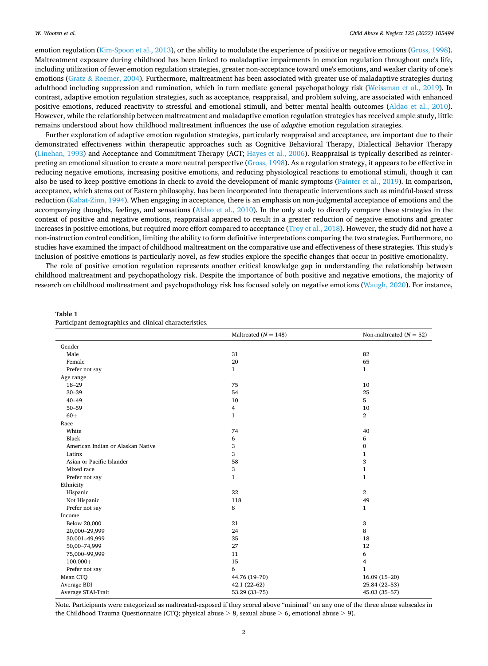<span id="page-1-0"></span>emotion regulation ([Kim-Spoon et al., 2013\)](#page-10-0), or the ability to modulate the experience of positive or negative emotions ([Gross, 1998](#page-10-0)). Maltreatment exposure during childhood has been linked to maladaptive impairments in emotion regulation throughout one's life, including utilization of fewer emotion regulation strategies, greater non-acceptance toward one's emotions, and weaker clarity of one's emotions (Gratz & [Roemer, 2004\)](#page-10-0). Furthermore, maltreatment has been associated with greater use of maladaptive strategies during adulthood including suppression and rumination, which in turn mediate general psychopathology risk ([Weissman et al., 2019](#page-11-0)). In contrast, adaptive emotion regulation strategies, such as acceptance, reappraisal, and problem solving, are associated with enhanced positive emotions, reduced reactivity to stressful and emotional stimuli, and better mental health outcomes [\(Aldao et al., 2010](#page-10-0)). However, while the relationship between maltreatment and maladaptive emotion regulation strategies has received ample study, little remains understood about how childhood maltreatment influences the use of *adaptive* emotion regulation strategies.

Further exploration of adaptive emotion regulation strategies, particularly reappraisal and acceptance, are important due to their demonstrated effectiveness within therapeutic approaches such as Cognitive Behavioral Therapy, Dialectical Behavior Therapy [\(Linehan, 1993\)](#page-10-0) and Acceptance and Commitment Therapy (ACT; [Hayes et al., 2006](#page-10-0)). Reappraisal is typically described as reinterpreting an emotional situation to create a more neutral perspective [\(Gross, 1998\)](#page-10-0). As a regulation strategy, it appears to be effective in reducing negative emotions, increasing positive emotions, and reducing physiological reactions to emotional stimuli, though it can also be used to keep positive emotions in check to avoid the development of manic symptoms ([Painter et al., 2019\)](#page-10-0). In comparison, acceptance, which stems out of Eastern philosophy, has been incorporated into therapeutic interventions such as mindful-based stress reduction ([Kabat-Zinn, 1994\)](#page-10-0). When engaging in acceptance, there is an emphasis on non-judgmental acceptance of emotions and the accompanying thoughts, feelings, and sensations [\(Aldao et al., 2010\)](#page-10-0). In the only study to directly compare these strategies in the context of positive and negative emotions, reappraisal appeared to result in a greater reduction of negative emotions and greater increases in positive emotions, but required more effort compared to acceptance [\(Troy et al., 2018\)](#page-11-0). However, the study did not have a non-instruction control condition, limiting the ability to form definitive interpretations comparing the two strategies. Furthermore, no studies have examined the impact of childhood maltreatment on the comparative use and effectiveness of these strategies. This study's inclusion of positive emotions is particularly novel, as few studies explore the specific changes that occur in positive emotionality.

The role of positive emotion regulation represents another critical knowledge gap in understanding the relationship between childhood maltreatment and psychopathology risk. Despite the importance of both positive and negative emotions, the majority of research on childhood maltreatment and psychopathology risk has focused solely on negative emotions ([Waugh, 2020\)](#page-11-0). For instance,

|                                   | Maltreated ( $N = 148$ ) | Non-maltreated $(N = 52)$ |
|-----------------------------------|--------------------------|---------------------------|
| Gender                            |                          |                           |
| Male                              | 31                       | 82                        |
| Female                            | 20                       | 65                        |
| Prefer not say                    | $\mathbf{1}$             | $\mathbf{1}$              |
| Age range                         |                          |                           |
| $18 - 29$                         | 75                       | 10                        |
| $30 - 39$                         | 54                       | 25                        |
| $40 - 49$                         | 10                       | 5                         |
| $50 - 59$                         | 4                        | 10                        |
| $60+$                             | $\mathbf{1}$             | $\overline{2}$            |
| Race                              |                          |                           |
| White                             | 74                       | 40                        |
| Black                             | 6                        | 6                         |
| American Indian or Alaskan Native | 3                        | $\bf{0}$                  |
| Latinx                            | 3                        | $\mathbf{1}$              |
| Asian or Pacific Islander         | 58                       | 3                         |
| Mixed race                        | 3                        | $\mathbf{1}$              |
| Prefer not say                    | $\mathbf{1}$             | $\mathbf{1}$              |
| Ethnicity                         |                          |                           |
| Hispanic                          | 22                       | $\overline{2}$            |
| Not Hispanic                      | 118                      | 49                        |
| Prefer not say                    | 8                        | $\mathbf{1}$              |
| Income                            |                          |                           |
| Below 20,000                      | 21                       | 3                         |
| 20,000-29,999                     | 24                       | 8                         |
| 30,001-49,999                     | 35                       | 18                        |
| 50,00-74,999                      | 27                       | 12                        |
| 75,000-99,999                     | 11                       | 6                         |
| $100,000+$                        | 15                       | 4                         |
| Prefer not say                    | 6                        | $\mathbf{1}$              |
| Mean CTQ                          | 44.76 (19-70)            | $16.09(15-20)$            |
| Average BDI                       | $42.1(22-62)$            | 25.84 (22-53)             |
| Average STAI-Trait                | 53.29 (33-75)            | 45.03 (35-57)             |

**Table 1** 

| Participant demographics and clinical characteristics. |  |  |
|--------------------------------------------------------|--|--|
|--------------------------------------------------------|--|--|

Note. Participants were categorized as maltreated-exposed if they scored above "minimal" on any one of the three abuse subscales in the Childhood Trauma Questionnaire (CTQ; physical abuse  $\geq 8$ , sexual abuse  $\geq 6$ , emotional abuse  $\geq 9$ ).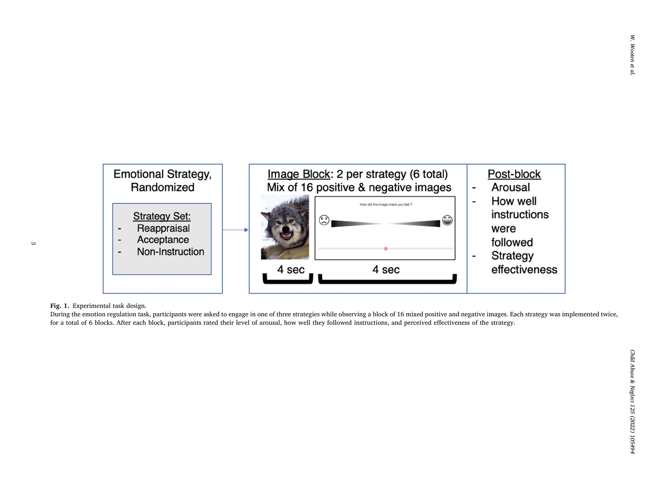<span id="page-2-0"></span>

## **Fig. 1.** Experimental task design.

During the emotion regulation task, participants were asked to engage in one of three strategies while observing a block of 16 mixed positive and negative images. Each strategy was implemented twice, for a total of 6 blocks. After each block, participants rated their level of arousal, how well they followed instructions, and perceived effectiveness of the strategy.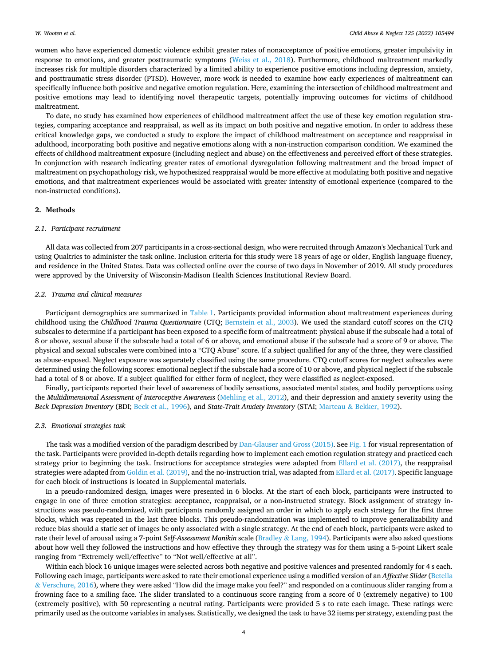<span id="page-3-0"></span>women who have experienced domestic violence exhibit greater rates of nonacceptance of positive emotions, greater impulsivity in response to emotions, and greater posttraumatic symptoms [\(Weiss et al., 2018](#page-11-0)). Furthermore, childhood maltreatment markedly increases risk for multiple disorders characterized by a limited ability to experience positive emotions including depression, anxiety, and posttraumatic stress disorder (PTSD). However, more work is needed to examine how early experiences of maltreatment can specifically influence both positive and negative emotion regulation. Here, examining the intersection of childhood maltreatment and positive emotions may lead to identifying novel therapeutic targets, potentially improving outcomes for victims of childhood maltreatment.

To date, no study has examined how experiences of childhood maltreatment affect the use of these key emotion regulation strategies, comparing acceptance and reappraisal, as well as its impact on both positive and negative emotion. In order to address these critical knowledge gaps, we conducted a study to explore the impact of childhood maltreatment on acceptance and reappraisal in adulthood, incorporating both positive and negative emotions along with a non-instruction comparison condition. We examined the effects of childhood maltreatment exposure (including neglect and abuse) on the effectiveness and perceived effort of these strategies. In conjunction with research indicating greater rates of emotional dysregulation following maltreatment and the broad impact of maltreatment on psychopathology risk, we hypothesized reappraisal would be more effective at modulating both positive and negative emotions, and that maltreatment experiences would be associated with greater intensity of emotional experience (compared to the non-instructed conditions).

## **2. Methods**

#### *2.1. Participant recruitment*

All data was collected from 207 participants in a cross-sectional design, who were recruited through Amazon's Mechanical Turk and using Qualtrics to administer the task online. Inclusion criteria for this study were 18 years of age or older, English language fluency, and residence in the United States. Data was collected online over the course of two days in November of 2019. All study procedures were approved by the University of Wisconsin-Madison Health Sciences Institutional Review Board.

### *2.2. Trauma and clinical measures*

Participant demographics are summarized in [Table 1.](#page-1-0) Participants provided information about maltreatment experiences during childhood using the *Childhood Trauma Questionnaire* (CTQ; [Bernstein et al., 2003](#page-10-0)). We used the standard cutoff scores on the CTQ subscales to determine if a participant has been exposed to a specific form of maltreatment: physical abuse if the subscale had a total of 8 or above, sexual abuse if the subscale had a total of 6 or above, and emotional abuse if the subscale had a score of 9 or above. The physical and sexual subscales were combined into a "CTQ Abuse" score. If a subject qualified for any of the three, they were classified as abuse-exposed. Neglect exposure was separately classified using the same procedure. CTQ cutoff scores for neglect subscales were determined using the following scores: emotional neglect if the subscale had a score of 10 or above, and physical neglect if the subscale had a total of 8 or above. If a subject qualified for either form of neglect, they were classified as neglect-exposed.

Finally, participants reported their level of awareness of bodily sensations, associated mental states, and bodily perceptions using the *Multidimensional Assessment of Interoceptive Awareness* ([Mehling et al., 2012](#page-10-0)), and their depression and anxiety severity using the *Beck Depression Inventory* (BDI; [Beck et al., 1996\)](#page-10-0), and *State-Trait Anxiety Inventory* (STAI; Marteau & [Bekker, 1992](#page-10-0)).

### *2.3. Emotional strategies task*

The task was a modified version of the paradigm described by [Dan-Glauser and Gross \(2015\)](#page-10-0). See [Fig. 1](#page-2-0) for visual representation of the task. Participants were provided in-depth details regarding how to implement each emotion regulation strategy and practiced each strategy prior to beginning the task. Instructions for acceptance strategies were adapted from [Ellard et al. \(2017\),](#page-10-0) the reappraisal strategies were adapted from [Goldin et al. \(2019\),](#page-10-0) and the no-instruction trial, was adapted from [Ellard et al. \(2017\)](#page-10-0). Specific language for each block of instructions is located in Supplemental materials.

In a pseudo-randomized design, images were presented in 6 blocks. At the start of each block, participants were instructed to engage in one of three emotion strategies: acceptance, reappraisal, or a non-instructed strategy. Block assignment of strategy instructions was pseudo-randomized, with participants randomly assigned an order in which to apply each strategy for the first three blocks, which was repeated in the last three blocks. This pseudo-randomization was implemented to improve generalizability and reduce bias should a static set of images be only associated with a single strategy. At the end of each block, participants were asked to rate their level of arousal using a 7-point *Self-Assessment Manikin* scale (Bradley & [Lang, 1994](#page-10-0)). Participants were also asked questions about how well they followed the instructions and how effective they through the strategy was for them using a 5-point Likert scale ranging from "Extremely well/effective" to "Not well/effective at all".

Within each block 16 unique images were selected across both negative and positive valences and presented randomly for 4 s each. Following each image, participants were asked to rate their emotional experience using a modified version of an *Affective Slider* [\(Betella](#page-10-0) & [Verschure, 2016](#page-10-0)), where they were asked "How did the image make you feel?" and responded on a continuous slider ranging from a frowning face to a smiling face. The slider translated to a continuous score ranging from a score of 0 (extremely negative) to 100 (extremely positive), with 50 representing a neutral rating. Participants were provided 5 s to rate each image. These ratings were primarily used as the outcome variables in analyses. Statistically, we designed the task to have 32 items per strategy, extending past the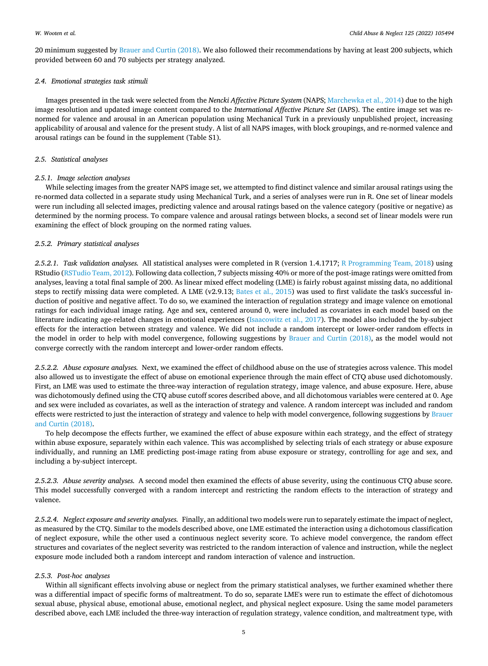20 minimum suggested by [Brauer and Curtin \(2018\)](#page-10-0). We also followed their recommendations by having at least 200 subjects, which provided between 60 and 70 subjects per strategy analyzed.

## *2.4. Emotional strategies task stimuli*

Images presented in the task were selected from the *Nencki Affective Picture System* (NAPS; [Marchewka et al., 2014\)](#page-10-0) due to the high image resolution and updated image content compared to the *International Affective Picture Set* (IAPS). The entire image set was renormed for valence and arousal in an American population using Mechanical Turk in a previously unpublished project, increasing applicability of arousal and valence for the present study. A list of all NAPS images, with block groupings, and re-normed valence and arousal ratings can be found in the supplement (Table S1).

## *2.5. Statistical analyses*

### *2.5.1. Image selection analyses*

While selecting images from the greater NAPS image set, we attempted to find distinct valence and similar arousal ratings using the re-normed data collected in a separate study using Mechanical Turk, and a series of analyses were run in R. One set of linear models were run including all selected images, predicting valence and arousal ratings based on the valence category (positive or negative) as determined by the norming process. To compare valence and arousal ratings between blocks, a second set of linear models were run examining the effect of block grouping on the normed rating values.

### *2.5.2. Primary statistical analyses*

*2.5.2.1. Task validation analyses.* All statistical analyses were completed in R (version 1.4.1717; [R Programming Team, 2018](#page-10-0)) using RStudio [\(RSTudio Team, 2012](#page-10-0)). Following data collection, 7 subjects missing 40% or more of the post-image ratings were omitted from analyses, leaving a total final sample of 200. As linear mixed effect modeling (LME) is fairly robust against missing data, no additional steps to rectify missing data were completed. A LME (v2.9.13; [Bates et al., 2015](#page-10-0)) was used to first validate the task's successful induction of positive and negative affect. To do so, we examined the interaction of regulation strategy and image valence on emotional ratings for each individual image rating. Age and sex, centered around 0, were included as covariates in each model based on the literature indicating age-related changes in emotional experiences [\(Isaacowitz et al., 2017](#page-10-0)). The model also included the by-subject effects for the interaction between strategy and valence. We did not include a random intercept or lower-order random effects in the model in order to help with model convergence, following suggestions by [Brauer and Curtin \(2018\)](#page-10-0), as the model would not converge correctly with the random intercept and lower-order random effects.

*2.5.2.2. Abuse exposure analyses.* Next, we examined the effect of childhood abuse on the use of strategies across valence. This model also allowed us to investigate the effect of abuse on emotional experience through the main effect of CTQ abuse used dichotomously. First, an LME was used to estimate the three-way interaction of regulation strategy, image valence, and abuse exposure. Here, abuse was dichotomously defined using the CTQ abuse cutoff scores described above, and all dichotomous variables were centered at 0. Age and sex were included as covariates, as well as the interaction of strategy and valence. A random intercept was included and random effects were restricted to just the interaction of strategy and valence to help with model convergence, following suggestions by [Brauer](#page-10-0) [and Curtin \(2018\)](#page-10-0).

To help decompose the effects further, we examined the effect of abuse exposure within each strategy, and the effect of strategy within abuse exposure, separately within each valence. This was accomplished by selecting trials of each strategy or abuse exposure individually, and running an LME predicting post-image rating from abuse exposure or strategy, controlling for age and sex, and including a by-subject intercept.

*2.5.2.3. Abuse severity analyses.* A second model then examined the effects of abuse severity, using the continuous CTQ abuse score. This model successfully converged with a random intercept and restricting the random effects to the interaction of strategy and valence.

*2.5.2.4. Neglect exposure and severity analyses.* Finally, an additional two models were run to separately estimate the impact of neglect, as measured by the CTQ. Similar to the models described above, one LME estimated the interaction using a dichotomous classification of neglect exposure, while the other used a continuous neglect severity score. To achieve model convergence, the random effect structures and covariates of the neglect severity was restricted to the random interaction of valence and instruction, while the neglect exposure mode included both a random intercept and random interaction of valence and instruction.

#### *2.5.3. Post-hoc analyses*

Within all significant effects involving abuse or neglect from the primary statistical analyses, we further examined whether there was a differential impact of specific forms of maltreatment. To do so, separate LME's were run to estimate the effect of dichotomous sexual abuse, physical abuse, emotional abuse, emotional neglect, and physical neglect exposure. Using the same model parameters described above, each LME included the three-way interaction of regulation strategy, valence condition, and maltreatment type, with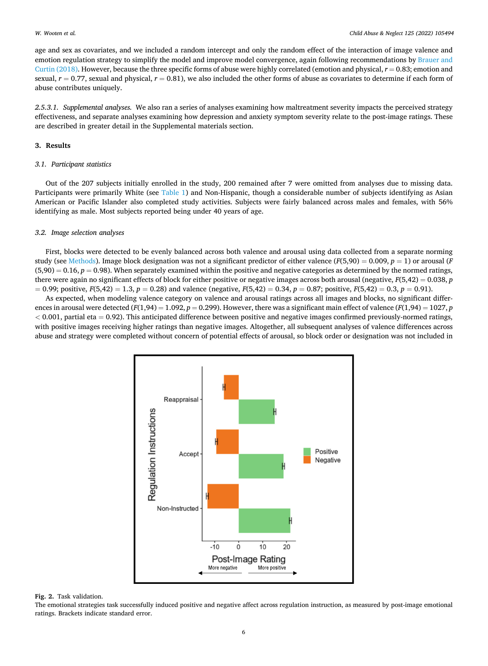<span id="page-5-0"></span>age and sex as covariates, and we included a random intercept and only the random effect of the interaction of image valence and emotion regulation strategy to simplify the model and improve model convergence, again following recommendations by [Brauer and](#page-10-0) [Curtin \(2018\).](#page-10-0) However, because the three specific forms of abuse were highly correlated (emotion and physical,  $r = 0.83$ ; emotion and sexual,  $r = 0.77$ , sexual and physical,  $r = 0.81$ ), we also included the other forms of abuse as covariates to determine if each form of abuse contributes uniquely.

*2.5.3.1. Supplemental analyses.* We also ran a series of analyses examining how maltreatment severity impacts the perceived strategy effectiveness, and separate analyses examining how depression and anxiety symptom severity relate to the post-image ratings. These are described in greater detail in the Supplemental materials section.

## **3. Results**

## *3.1. Participant statistics*

Out of the 207 subjects initially enrolled in the study, 200 remained after 7 were omitted from analyses due to missing data. Participants were primarily White (see [Table 1](#page-1-0)) and Non-Hispanic, though a considerable number of subjects identifying as Asian American or Pacific Islander also completed study activities. Subjects were fairly balanced across males and females, with 56% identifying as male. Most subjects reported being under 40 years of age.

## *3.2. Image selection analyses*

First, blocks were detected to be evenly balanced across both valence and arousal using data collected from a separate norming study (see [Methods\)](#page-3-0). Image block designation was not a significant predictor of either valence  $(F(5,90) = 0.009, p = 1)$  or arousal (*F*  $(5,90) = 0.16$ ,  $p = 0.98$ ). When separately examined within the positive and negative categories as determined by the normed ratings, there were again no significant effects of block for either positive or negative images across both arousal (negative, *F*(5,42) = 0.038, *p*  = 0.99; positive, *F*(5,42) = 1.3, *p* = 0.28) and valence (negative, *F*(5,42) = 0.34, *p* = 0.87; positive, *F*(5,42) = 0.3, *p* = 0.91).

As expected, when modeling valence category on valence and arousal ratings across all images and blocks, no significant differences in arousal were detected ( $F(1,94) = 1.092$ ,  $p = 0.299$ ). However, there was a significant main effect of valence ( $F(1,94) = 1027$ ,  $p$ *<* 0.001, partial eta = 0.92). This anticipated difference between positive and negative images confirmed previously-normed ratings, with positive images receiving higher ratings than negative images. Altogether, all subsequent analyses of valence differences across abuse and strategy were completed without concern of potential effects of arousal, so block order or designation was not included in



#### **Fig. 2.** Task validation.

The emotional strategies task successfully induced positive and negative affect across regulation instruction, as measured by post-image emotional ratings. Brackets indicate standard error.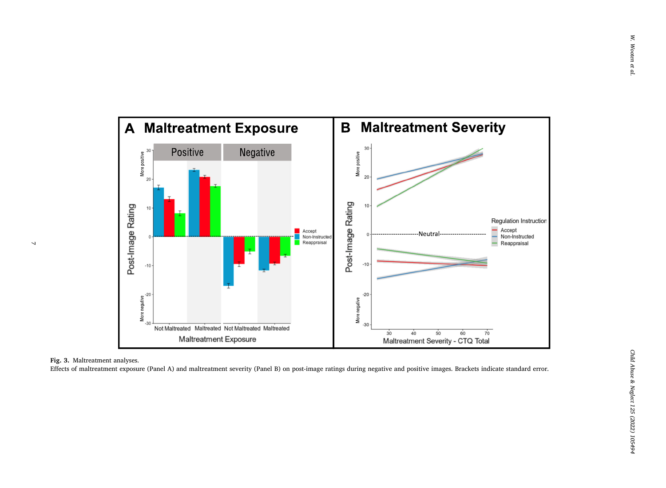<span id="page-6-0"></span>

**Fig. 3.** Maltreatment analyses.

 $\overline{a}$ 

Effects of maltreatment exposure (Panel A) and maltreatment severity (Panel B) on post-image ratings during negative and positive images. Brackets indicate standard error.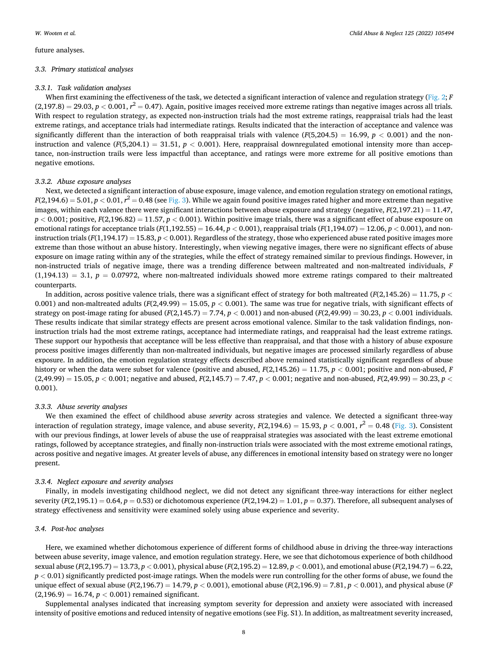future analyses.

## *3.3. Primary statistical analyses*

## *3.3.1. Task validation analyses*

When first examining the effectiveness of the task, we detected a significant interaction of valence and regulation strategy ([Fig. 2](#page-5-0); *F*  $(2,197.8) = 29.03, p < 0.001, r<sup>2</sup> = 0.47$ . Again, positive images received more extreme ratings than negative images across all trials. With respect to regulation strategy, as expected non-instruction trials had the most extreme ratings, reappraisal trials had the least extreme ratings, and acceptance trials had intermediate ratings. Results indicated that the interaction of acceptance and valence was significantly different than the interaction of both reappraisal trials with valence  $(F(5,204.5) = 16.99, p < 0.001)$  and the noninstruction and valence  $(F(5,204.1) = 31.51, p < 0.001)$ . Here, reappraisal downregulated emotional intensity more than acceptance, non-instruction trails were less impactful than acceptance, and ratings were more extreme for all positive emotions than negative emotions.

## *3.3.2. Abuse exposure analyses*

Next, we detected a significant interaction of abuse exposure, image valence, and emotion regulation strategy on emotional ratings, *F*(2,194.6) = 5.01, *p* < 0.01, *r*<sup>2</sup> = 0.48 (see [Fig. 3\)](#page-6-0). While we again found positive images rated higher and more extreme than negative images, within each valence there were significant interactions between abuse exposure and strategy (negative,  $F(2,197.21) = 11.47$ ,  $p < 0.001$ ; positive,  $F(2,196.82) = 11.57$ ,  $p < 0.001$ ). Within positive image trials, there was a significant effect of abuse exposure on emotional ratings for acceptance trials ( $F(1,192.55) = 16.44$ ,  $p < 0.001$ ), reappraisal trials ( $F(1,194.07) = 12.06$ ,  $p < 0.001$ ), and noninstruction trials ( $F(1,194.17) = 15.83$ ,  $p < 0.001$ ). Regardless of the strategy, those who experienced abuse rated positive images more extreme than those without an abuse history. Interestingly, when viewing negative images, there were no significant effects of abuse exposure on image rating within any of the strategies, while the effect of strategy remained similar to previous findings. However, in non-instructed trials of negative image, there was a trending difference between maltreated and non-maltreated individuals, *F*   $(1,194.13) = 3.1, p = 0.07972$ , where non-maltreated individuals showed more extreme ratings compared to their maltreated counterparts.

In addition, across positive valence trials, there was a significant effect of strategy for both maltreated  $(F(2,145.26) = 11.75, p <$ 0.001) and non-maltreated adults  $(F(2,49.99) = 15.05, p < 0.001)$ . The same was true for negative trials, with significant effects of strategy on post-image rating for abused  $(F(2,145.7) = 7.74, p < 0.001)$  and non-abused  $(F(2,49.99) = 30.23, p < 0.001$  individuals. These results indicate that similar strategy effects are present across emotional valence. Similar to the task validation findings, noninstruction trials had the most extreme ratings, acceptance had intermediate ratings, and reappraisal had the least extreme ratings. These support our hypothesis that acceptance will be less effective than reappraisal, and that those with a history of abuse exposure process positive images differently than non-maltreated individuals, but negative images are processed similarly regardless of abuse exposure. In addition, the emotion regulation strategy effects described above remained statistically significant regardless of abuse history or when the data were subset for valence (positive and abused,  $F(2,145.26) = 11.75$ ,  $p < 0.001$ ; positive and non-abused, F  $(2,49.99) = 15.05$ ,  $p < 0.001$ ; negative and abused,  $F(2,145.7) = 7.47$ ,  $p < 0.001$ ; negative and non-abused,  $F(2,49.99) = 30.23$ ,  $p <$ 0.001).

### *3.3.3. Abuse severity analyses*

We then examined the effect of childhood abuse *severity* across strategies and valence. We detected a significant three-way interaction of regulation strategy, image valence, and abuse severity,  $F(2,194.6) = 15.93$ ,  $p < 0.001$ ,  $r^2 = 0.48$  ([Fig. 3\)](#page-6-0). Consistent with our previous findings, at lower levels of abuse the use of reappraisal strategies was associated with the least extreme emotional ratings, followed by acceptance strategies, and finally non-instruction trials were associated with the most extreme emotional ratings, across positive and negative images. At greater levels of abuse, any differences in emotional intensity based on strategy were no longer present.

## *3.3.4. Neglect exposure and severity analyses*

Finally, in models investigating childhood neglect, we did not detect any significant three-way interactions for either neglect severity  $(F(2,195.1) = 0.64$ ,  $p = 0.53$ ) or dichotomous experience  $(F(2,194.2) = 1.01$ ,  $p = 0.37$ ). Therefore, all subsequent analyses of strategy effectiveness and sensitivity were examined solely using abuse experience and severity.

#### *3.4. Post-hoc analyses*

Here, we examined whether dichotomous experience of different forms of childhood abuse in driving the three-way interactions between abuse severity, image valence, and emotion regulation strategy. Here, we see that dichotomous experience of both childhood sexual abuse (*F*(2,195.7) = 13.73, *p <* 0.001), physical abuse (*F*(2,195.2) = 12.89, *p <* 0.001), and emotional abuse (*F*(2,194.7) = 6.22,  $p < 0.01$ ) significantly predicted post-image ratings. When the models were run controlling for the other forms of abuse, we found the unique effect of sexual abuse  $(F(2,196.7) = 14.79, p < 0.001)$ , emotional abuse  $(F(2,196.9) = 7.81, p < 0.001)$ , and physical abuse (*F*  $(2,196.9) = 16.74, p < 0.001$  remained significant.

Supplemental analyses indicated that increasing symptom severity for depression and anxiety were associated with increased intensity of positive emotions and reduced intensity of negative emotions (see Fig. S1). In addition, as maltreatment severity increased,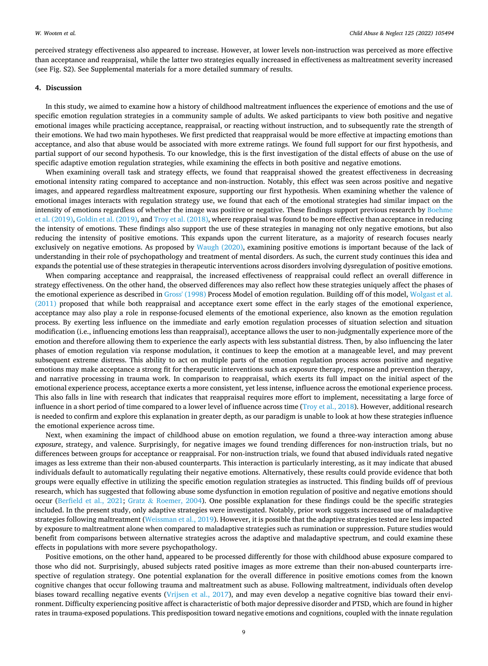perceived strategy effectiveness also appeared to increase. However, at lower levels non-instruction was perceived as more effective than acceptance and reappraisal, while the latter two strategies equally increased in effectiveness as maltreatment severity increased (see Fig. S2). See Supplemental materials for a more detailed summary of results.

## **4. Discussion**

In this study, we aimed to examine how a history of childhood maltreatment influences the experience of emotions and the use of specific emotion regulation strategies in a community sample of adults. We asked participants to view both positive and negative emotional images while practicing acceptance, reappraisal, or reacting without instruction, and to subsequently rate the strength of their emotions. We had two main hypotheses. We first predicted that reappraisal would be more effective at impacting emotions than acceptance, and also that abuse would be associated with more extreme ratings. We found full support for our first hypothesis, and partial support of our second hypothesis. To our knowledge, this is the first investigation of the distal effects of abuse on the use of specific adaptive emotion regulation strategies, while examining the effects in both positive and negative emotions.

When examining overall task and strategy effects, we found that reappraisal showed the greatest effectiveness in decreasing emotional intensity rating compared to acceptance and non-instruction. Notably, this effect was seen across positive and negative images, and appeared regardless maltreatment exposure, supporting our first hypothesis. When examining whether the valence of emotional images interacts with regulation strategy use, we found that each of the emotional strategies had similar impact on the intensity of emotions regardless of whether the image was positive or negative. These findings support previous research by [Boehme](#page-10-0) [et al. \(2019\), Goldin et al. \(2019\)](#page-10-0), and [Troy et al. \(2018\)](#page-11-0), where reappraisal was found to be more effective than acceptance in reducing the intensity of emotions. These findings also support the use of these strategies in managing not only negative emotions, but also reducing the intensity of positive emotions. This expands upon the current literature, as a majority of research focuses nearly exclusively on negative emotions. As proposed by [Waugh \(2020\)](#page-11-0), examining positive emotions is important because of the lack of understanding in their role of psychopathology and treatment of mental disorders. As such, the current study continues this idea and expands the potential use of these strategies in therapeutic interventions across disorders involving dysregulation of positive emotions.

When comparing acceptance and reappraisal, the increased effectiveness of reappraisal could reflect an overall difference in strategy effectiveness. On the other hand, the observed differences may also reflect how these strategies uniquely affect the phases of the emotional experience as described in [Gross' \(1998\)](#page-10-0) Process Model of emotion regulation. Building off of this model, [Wolgast et al.](#page-11-0) [\(2011\)](#page-11-0) proposed that while both reappraisal and acceptance exert some effect in the early stages of the emotional experience, acceptance may also play a role in response-focused elements of the emotional experience, also known as the emotion regulation process. By exerting less influence on the immediate and early emotion regulation processes of situation selection and situation modification (i.e., influencing emotions less than reappraisal), acceptance allows the user to non-judgmentally experience more of the emotion and therefore allowing them to experience the early aspects with less substantial distress. Then, by also influencing the later phases of emotion regulation via response modulation, it continues to keep the emotion at a manageable level, and may prevent subsequent extreme distress. This ability to act on multiple parts of the emotion regulation process across positive and negative emotions may make acceptance a strong fit for therapeutic interventions such as exposure therapy, response and prevention therapy, and narrative processing in trauma work. In comparison to reappraisal, which exerts its full impact on the initial aspect of the emotional experience process, acceptance exerts a more consistent, yet less intense, influence across the emotional experience process. This also falls in line with research that indicates that reappraisal requires more effort to implement, necessitating a large force of influence in a short period of time compared to a lower level of influence across time ([Troy et al., 2018](#page-11-0)). However, additional research is needed to confirm and explore this explanation in greater depth, as our paradigm is unable to look at how these strategies influence the emotional experience across time.

Next, when examining the impact of childhood abuse on emotion regulation, we found a three-way interaction among abuse *exposure*, strategy, and valence. Surprisingly, for negative images we found trending differences for non-instruction trials, but no differences between groups for acceptance or reappraisal. For non-instruction trials, we found that abused individuals rated negative images as less extreme than their non-abused counterparts. This interaction is particularly interesting, as it may indicate that abused individuals default to automatically regulating their negative emotions. Alternatively, these results could provide evidence that both groups were equally effective in utilizing the specific emotion regulation strategies as instructed. This finding builds off of previous research, which has suggested that following abuse some dysfunction in emotion regulation of positive and negative emotions should occur ([Berfield et al., 2021](#page-10-0); Gratz & [Roemer, 2004](#page-10-0)). One possible explanation for these findings could be the specific strategies included. In the present study, only adaptive strategies were investigated. Notably, prior work suggests increased use of maladaptive strategies following maltreatment ([Weissman et al., 2019\)](#page-11-0). However, it is possible that the adaptive strategies tested are less impacted by exposure to maltreatment alone when compared to maladaptive strategies such as rumination or suppression. Future studies would benefit from comparisons between alternative strategies across the adaptive and maladaptive spectrum, and could examine these effects in populations with more severe psychopathology.

Positive emotions, on the other hand, appeared to be processed differently for those with childhood abuse exposure compared to those who did not. Surprisingly, abused subjects rated positive images as more extreme than their non-abused counterparts irrespective of regulation strategy. One potential explanation for the overall difference in positive emotions comes from the known cognitive changes that occur following trauma and maltreatment such as abuse. Following maltreatment, individuals often develop biases toward recalling negative events ([Vrijsen et al., 2017](#page-11-0)), and may even develop a negative cognitive bias toward their environment. Difficulty experiencing positive affect is characteristic of both major depressive disorder and PTSD, which are found in higher rates in trauma-exposed populations. This predisposition toward negative emotions and cognitions, coupled with the innate regulation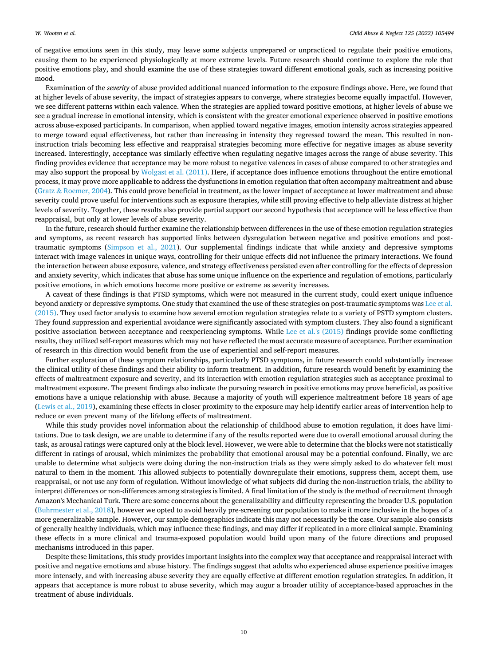of negative emotions seen in this study, may leave some subjects unprepared or unpracticed to regulate their positive emotions, causing them to be experienced physiologically at more extreme levels. Future research should continue to explore the role that positive emotions play, and should examine the use of these strategies toward different emotional goals, such as increasing positive mood.

Examination of the *severity* of abuse provided additional nuanced information to the exposure findings above. Here, we found that at higher levels of abuse severity, the impact of strategies appears to converge, where strategies become equally impactful. However, we see different patterns within each valence. When the strategies are applied toward positive emotions, at higher levels of abuse we see a gradual increase in emotional intensity, which is consistent with the greater emotional experience observed in positive emotions across abuse-exposed participants. In comparison, when applied toward negative images, emotion intensity across strategies appeared to merge toward equal effectiveness, but rather than increasing in intensity they regressed toward the mean. This resulted in noninstruction trials becoming less effective and reappraisal strategies becoming more effective for negative images as abuse severity increased. Interestingly, acceptance was similarly effective when regulating negative images across the range of abuse severity. This finding provides evidence that acceptance may be more robust to negative valences in cases of abuse compared to other strategies and may also support the proposal by [Wolgast et al. \(2011\).](#page-11-0) Here, if acceptance does influence emotions throughout the entire emotional process, it may prove more applicable to address the dysfunctions in emotion regulation that often accompany maltreatment and abuse (Gratz & [Roemer, 2004](#page-10-0)). This could prove beneficial in treatment, as the lower impact of acceptance at lower maltreatment and abuse severity could prove useful for interventions such as exposure therapies, while still proving effective to help alleviate distress at higher levels of severity. Together, these results also provide partial support our second hypothesis that acceptance will be less effective than reappraisal, but only at lower levels of abuse severity.

In the future, research should further examine the relationship between differences in the use of these emotion regulation strategies and symptoms, as recent research has supported links between dysregulation between negative and positive emotions and posttraumatic symptoms ([Simpson et al., 2021](#page-11-0)). Our supplemental findings indicate that while anxiety and depressive symptoms interact with image valences in unique ways, controlling for their unique effects did not influence the primary interactions. We found the interaction between abuse exposure, valence, and strategy effectiveness persisted even after controlling for the effects of depression and anxiety severity, which indicates that abuse has some unique influence on the experience and regulation of emotions, particularly positive emotions, in which emotions become more positive or extreme as severity increases.

A caveat of these findings is that PTSD symptoms, which were not measured in the current study, could exert unique influence beyond anxiety or depressive symptoms. One study that examined the use of these strategies on post-traumatic symptoms was [Lee et al.](#page-10-0) [\(2015\).](#page-10-0) They used factor analysis to examine how several emotion regulation strategies relate to a variety of PSTD symptom clusters. They found suppression and experiential avoidance were significantly associated with symptom clusters. They also found a significant positive association between acceptance and reexperiencing symptoms. While [Lee et al.'s \(2015\)](#page-10-0) findings provide some conflicting results, they utilized self-report measures which may not have reflected the most accurate measure of acceptance. Further examination of research in this direction would benefit from the use of experiential and self-report measures.

Further exploration of these symptom relationships, particularly PTSD symptoms, in future research could substantially increase the clinical utility of these findings and their ability to inform treatment. In addition, future research would benefit by examining the effects of maltreatment exposure and severity, and its interaction with emotion regulation strategies such as acceptance proximal to maltreatment exposure. The present findings also indicate the pursuing research in positive emotions may prove beneficial, as positive emotions have a unique relationship with abuse. Because a majority of youth will experience maltreatment before 18 years of age [\(Lewis et al., 2019](#page-10-0)), examining these effects in closer proximity to the exposure may help identify earlier areas of intervention help to reduce or even prevent many of the lifelong effects of maltreatment.

While this study provides novel information about the relationship of childhood abuse to emotion regulation, it does have limitations. Due to task design, we are unable to determine if any of the results reported were due to overall emotional arousal during the task, as arousal ratings were captured only at the block level. However, we were able to determine that the blocks were not statistically different in ratings of arousal, which minimizes the probability that emotional arousal may be a potential confound. Finally, we are unable to determine what subjects were doing during the non-instruction trials as they were simply asked to do whatever felt most natural to them in the moment. This allowed subjects to potentially downregulate their emotions, suppress them, accept them, use reappraisal, or not use any form of regulation. Without knowledge of what subjects did during the non-instruction trials, the ability to interpret differences or non-differences among strategies is limited. A final limitation of the study is the method of recruitment through Amazon's Mechanical Turk. There are some concerns about the generalizability and difficulty representing the broader U.S. population [\(Buhrmester et al., 2018\)](#page-10-0), however we opted to avoid heavily pre-screening our population to make it more inclusive in the hopes of a more generalizable sample. However, our sample demographics indicate this may not necessarily be the case. Our sample also consists of generally healthy individuals, which may influence these findings, and may differ if replicated in a more clinical sample. Examining these effects in a more clinical and trauma-exposed population would build upon many of the future directions and proposed mechanisms introduced in this paper.

Despite these limitations, this study provides important insights into the complex way that acceptance and reappraisal interact with positive and negative emotions and abuse history. The findings suggest that adults who experienced abuse experience positive images more intensely, and with increasing abuse severity they are equally effective at different emotion regulation strategies. In addition, it appears that acceptance is more robust to abuse severity, which may augur a broader utility of acceptance-based approaches in the treatment of abuse individuals.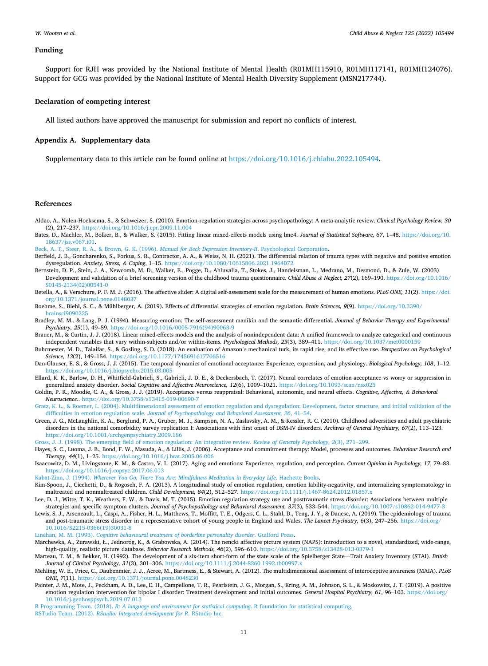#### <span id="page-10-0"></span>**Funding**

Support for RJH was provided by the National Institute of Mental Health (R01MH115910, R01MH117141, R01MH124076). Support for GCG was provided by the National Institute of Mental Health Diversity Supplement (MSN217744).

## **Declaration of competing interest**

All listed authors have approved the manuscript for submission and report no conflicts of interest.

## **Appendix A. Supplementary data**

Supplementary data to this article can be found online at [https://doi.org/10.1016/j.chiabu.2022.105494.](https://doi.org/10.1016/j.chiabu.2022.105494)

### **References**

- Aldao, A., Nolen-Hoeksema, S., & Schweizer, S. (2010). Emotion-regulation strategies across psychopathology: A meta-analytic review. *Clinical Psychology Review, 30*  (2), 217–237. <https://doi.org/10.1016/j.cpr.2009.11.004>
- Bates, D., Machler, M., Bolker, B., & Walker, S. (2015). Fitting linear mixed-effects models using lme4. *Journal of Statistical Software, 67*, 1–48. [https://doi.org/10.](https://doi.org/10.18637/jss.v067.i01) [18637/jss.v067.i01.](https://doi.org/10.18637/jss.v067.i01)
- [Beck, A. T., Steer, R. A., & Brown, G. K. \(1996\).](http://refhub.elsevier.com/S0145-2134(22)00013-8/rf202201140735337097) *Manual for Beck Depression Inventory-II*. Psychological Corporation.
- Berfield, J. B., Goncharenko, S., Forkus, S. R., Contractor, A. A., & Weiss, N. H. (2021). The differential relation of trauma types with negative and positive emotion dysregulation. *Anxiety, Stress, & Coping*, 1–15. <https://doi.org/10.1080/10615806.2021.1964072>
- Bernstein, D. P., Stein, J. A., Newcomb, M. D., Walker, E., Pogge, D., Ahluvalia, T., Stokes, J., Handelsman, L., Medrano, M., Desmond, D., & Zule, W. (2003). Development and validation of a brief screening version of the childhood trauma questionnaire. *Child Abuse & Neglect, 27*(2), 169–190. [https://doi.org/10.1016/](https://doi.org/10.1016/S0145-2134(02)00541-0) [S0145-2134\(02\)00541-0](https://doi.org/10.1016/S0145-2134(02)00541-0)
- Betella, A., & Verschure, P. F. M. J. (2016). The affective slider: A digital self-assessment scale for the measurement of human emotions. *PLoS ONE, 11*(2). [https://doi.](https://doi.org/10.1371/journal.pone.0148037) [org/10.1371/journal.pone.0148037](https://doi.org/10.1371/journal.pone.0148037)
- Boehme, S., Biehl, S. C., & Mühlberger, A. (2019). Effects of differential strategies of emotion regulation. *Brain Sciences, 9*(9). [https://doi.org/10.3390/](https://doi.org/10.3390/brainsci9090225) [brainsci9090225](https://doi.org/10.3390/brainsci9090225)
- Bradley, M. M., & Lang, P. J. (1994). Measuring emotion: The self-assessment manikin and the semantic differential. *Journal of Behavior Therapy and Experimental Psychiatry, 25*(1), 49–59. [https://doi.org/10.1016/0005-7916\(94\)90063-9](https://doi.org/10.1016/0005-7916(94)90063-9)
- Brauer, M., & Curtin, J. J. (2018). Linear mixed-effects models and the analysis of nonindependent data: A unified framework to analyze categorical and continuous independent variables that vary within-subjects and/or within-items. *Psychological Methods, 23*(3), 389–411. <https://doi.org/10.1037/met0000159>
- Buhrmester, M. D., Talaifar, S., & Gosling, S. D. (2018). An evaluation of Amazon's mechanical turk, its rapid rise, and its effective use. *Perspectives on Psychological Science, 13*(2), 149–154.<https://doi.org/10.1177/1745691617706516>
- Dan-Glauser, E. S., & Gross, J. J. (2015). The temporal dynamics of emotional acceptance: Experience, expression, and physiology. *Biological Psychology, 108*, 1–12. <https://doi.org/10.1016/j.biopsycho.2015.03.005>
- Ellard, K. K., Barlow, D. H., Whitfield-Gabrieli, S., Gabrieli, J. D. E., & Deckersbach, T. (2017). Neural correlates of emotion acceptance vs worry or suppression in generalized anxiety disorder. *Social Cognitive and Affective Neuroscience, 12*(6), 1009–1021. <https://doi.org/10.1093/scan/nsx025>
- Goldin, P. R., Moodie, C. A., & Gross, J. J. (2019). Acceptance versus reappraisal: Behavioral, autonomic, and neural effects. *Cognitive, Affective, & Behavioral Neuroscience.*.<https://doi.org/10.3758/s13415-019-00690-7>
- [Gratz, K. L., & Roemer, L. \(2004\). Multidimensional assessment of emotion regulation and dysregulation: Development, factor structure, and initial validation of the](http://refhub.elsevier.com/S0145-2134(22)00013-8/rf202201140735398371) difficulties in emotion regulation scale. *[Journal of Psychopathology and Behavioral Assessment, 26](http://refhub.elsevier.com/S0145-2134(22)00013-8/rf202201140735398371)*, 41–54.
- Green, J. G., McLaughlin, K. A., Berglund, P. A., Gruber, M. J., Sampson, N. A., Zaslavsky, A. M., & Kessler, R. C. (2010). Childhood adversities and adult psychiatric disorders in the national comorbidity survey replication I: Associations with first onset of DSM-IV disorders. *Archives of General Psychiatry, 67*(2), 113–123. <https://doi.org/10.1001/archgenpsychiatry.2009.186>
- [Gross, J. J. \(1998\). The emerging field of emotion regulation: An integrative review.](http://refhub.elsevier.com/S0145-2134(22)00013-8/rf202201140727215589) *Review of Generaly Psychology, 2*(3), 271–299.
- Hayes, S. C., Luoma, J. B., Bond, F. W., Masuda, A., & Lillis, J. (2006). Acceptance and commitment therapy: Model, processes and outcomes. *Behaviour Research and Therapy, 44*(1), 1–25. <https://doi.org/10.1016/j.brat.2005.06.006>
- Isaacowitz, D. M., Livingstone, K. M., & Castro, V. L. (2017). Aging and emotions: Experience, regulation, and perception. *Current Opinion in Psychology, 17*, 79–83. <https://doi.org/10.1016/j.copsyc.2017.06.013>
- Kabat-Zinn, J. (1994). *[Wherever You Go, There You Are: Mindfulness Meditation in Everyday Life](http://refhub.elsevier.com/S0145-2134(22)00013-8/rf202201140727329432)*. Hachette Books.
- Kim-Spoon, J., Cicchetti, D., & Rogosch, F. A. (2013). A longitudinal study of emotion regulation, emotion lability-negativity, and internalizing symptomatology in maltreated and nonmaltreated children. *Child Development, 84*(2), 512–527. <https://doi.org/10.1111/j.1467-8624.2012.01857.x>
- Lee, D. J., Witte, T. K., Weathers, F. W., & Davis, M. T. (2015). Emotion regulation strategy use and posttraumatic stress disorder: Associations between multiple strategies and specific symptom clusters. *Journal of Psychopathology and Behavioral Assessment, 37*(3), 533–544. <https://doi.org/10.1007/s10862-014-9477-3>
- Lewis, S. J., Arseneault, L., Caspi, A., Fisher, H. L., Matthews, T., Moffitt, T. E., Odgers, C. L., Stahl, D., Teng, J. Y., & Danese, A. (2019). The epidemiology of trauma and post-traumatic stress disorder in a representative cohort of young people in England and Wales. *The Lancet Psychiatry, 6*(3), 247–256. [https://doi.org/](https://doi.org/10.1016/S2215-0366(19)30031-8) [10.1016/S2215-0366\(19\)30031-8](https://doi.org/10.1016/S2215-0366(19)30031-8)

Linehan, M. M. (1993). *[Cognitive behavioural treatment of borderline personality disorder](http://refhub.elsevier.com/S0145-2134(22)00013-8/rf202201140727382039)*. Guilford Press.

- Marchewka, A., Żurawski, Ł., Jednoróg, K., & Grabowska, A. (2014). The nencki affective picture system (NAPS): Introduction to a novel, standardized, wide-range, high-quality, realistic picture database. *Behavior Research Methods*, 46(2), 596-610. https://doi.org/10.3758/s13428-013-0379-
- Marteau, T. M., & Bekker, H. (1992). The development of a six-item short-form of the state scale of the Spielberger State—Trait Anxiety Inventory (STAI). *British Journal of Clinical Psychology, 31*(3), 301–306. <https://doi.org/10.1111/j.2044-8260.1992.tb00997.x>
- Mehling, W. E., Price, C., Daubenmier, J. J., Acree, M., Bartmess, E., & Stewart, A. (2012). The multidimensional assessment of interoceptive awareness (MAIA). *PLoS ONE, 7*(11). <https://doi.org/10.1371/journal.pone.0048230>
- Painter, J. M., Mote, J., Peckham, A. D., Lee, E. H., Campellone, T. R., Pearlstein, J. G., Morgan, S., Kring, A. M., Johnson, S. L., & Moskowitz, J. T. (2019). A positive emotion regulation intervention for bipolar I disorder: Treatment development and initial outcomes. *General Hospital Psychiatry, 61*, 96–103. [https://doi.org/](https://doi.org/10.1016/j.genhosppsych.2019.07.013)  [10.1016/j.genhosppsych.2019.07.013](https://doi.org/10.1016/j.genhosppsych.2019.07.013)

R Programming Team. (2018). *[R: A language and environment for statistical computing](http://refhub.elsevier.com/S0145-2134(22)00013-8/rf202201140728058739)*. R foundation for statistical computing. RSTudio Team. (2012). *[RStudio: Integrated development for R](http://refhub.elsevier.com/S0145-2134(22)00013-8/rf202201140728164685)*. RStudio Inc.